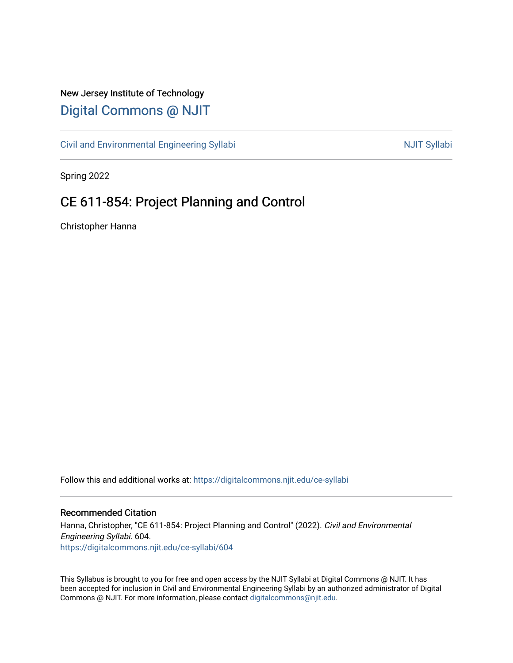## New Jersey Institute of Technology [Digital Commons @ NJIT](https://digitalcommons.njit.edu/)

[Civil and Environmental Engineering Syllabi](https://digitalcommons.njit.edu/ce-syllabi) Nulle and Syllabi NJIT Syllabi

Spring 2022

# CE 611-854: Project Planning and Control

Christopher Hanna

Follow this and additional works at: [https://digitalcommons.njit.edu/ce-syllabi](https://digitalcommons.njit.edu/ce-syllabi?utm_source=digitalcommons.njit.edu%2Fce-syllabi%2F604&utm_medium=PDF&utm_campaign=PDFCoverPages)

#### Recommended Citation

Hanna, Christopher, "CE 611-854: Project Planning and Control" (2022). Civil and Environmental Engineering Syllabi. 604. [https://digitalcommons.njit.edu/ce-syllabi/604](https://digitalcommons.njit.edu/ce-syllabi/604?utm_source=digitalcommons.njit.edu%2Fce-syllabi%2F604&utm_medium=PDF&utm_campaign=PDFCoverPages)

This Syllabus is brought to you for free and open access by the NJIT Syllabi at Digital Commons @ NJIT. It has been accepted for inclusion in Civil and Environmental Engineering Syllabi by an authorized administrator of Digital Commons @ NJIT. For more information, please contact [digitalcommons@njit.edu.](mailto:digitalcommons@njit.edu)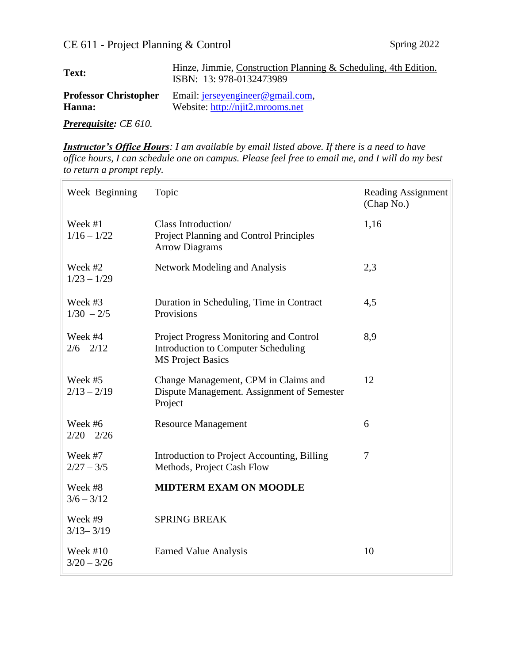| Text:                        | Hinze, Jimmie, Construction Planning & Scheduling, 4th Edition.<br>ISBN: 13: 978-0132473989 |
|------------------------------|---------------------------------------------------------------------------------------------|
| <b>Professor Christopher</b> | Email: $j$ erseyengineer@gmail.com,                                                         |
| Hanna:                       | Website: http://njit2.mrooms.net                                                            |

*Prerequisite: CE 610.*

*Instructor's Office Hours: I am available by email listed above. If there is a need to have office hours, I can schedule one on campus. Please feel free to email me, and I will do my best to return a prompt reply.*

| Week Beginning             | Topic                                                                                                             | <b>Reading Assignment</b><br>(Chap No.) |
|----------------------------|-------------------------------------------------------------------------------------------------------------------|-----------------------------------------|
| Week $#1$<br>$1/16 - 1/22$ | Class Introduction/<br>Project Planning and Control Principles<br><b>Arrow Diagrams</b>                           | 1,16                                    |
| Week #2<br>$1/23 - 1/29$   | Network Modeling and Analysis                                                                                     | 2,3                                     |
| Week #3<br>$1/30 - 2/5$    | Duration in Scheduling, Time in Contract<br>Provisions                                                            | 4,5                                     |
| Week #4<br>$2/6 - 2/12$    | Project Progress Monitoring and Control<br><b>Introduction to Computer Scheduling</b><br><b>MS Project Basics</b> | 8,9                                     |
| Week #5<br>$2/13 - 2/19$   | Change Management, CPM in Claims and<br>Dispute Management. Assignment of Semester<br>Project                     | 12                                      |
| Week #6<br>$2/20 - 2/26$   | <b>Resource Management</b>                                                                                        | 6                                       |
| Week #7<br>$2/27 - 3/5$    | Introduction to Project Accounting, Billing<br>Methods, Project Cash Flow                                         | 7                                       |
| Week #8<br>$3/6 - 3/12$    | <b>MIDTERM EXAM ON MOODLE</b>                                                                                     |                                         |
| Week #9<br>$3/13 - 3/19$   | <b>SPRING BREAK</b>                                                                                               |                                         |
| Week #10<br>$3/20 - 3/26$  | <b>Earned Value Analysis</b>                                                                                      | 10                                      |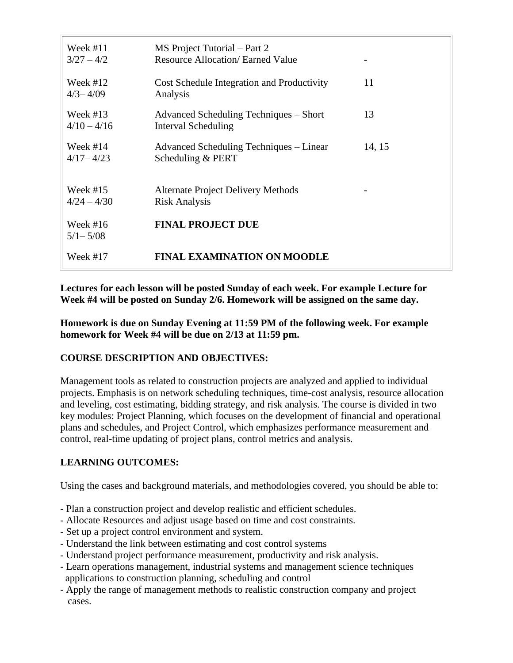| Week $#11$<br>$3/27 - 4/2$  | MS Project Tutorial – Part 2<br><b>Resource Allocation/ Earned Value</b> |        |
|-----------------------------|--------------------------------------------------------------------------|--------|
| Week $#12$<br>$4/3 - 4/09$  | Cost Schedule Integration and Productivity<br>Analysis                   | 11     |
| Week $#13$<br>$4/10 - 4/16$ | Advanced Scheduling Techniques – Short<br>Interval Scheduling            | 13     |
| Week #14<br>$4/17 - 4/23$   | Advanced Scheduling Techniques – Linear<br>Scheduling & PERT             | 14, 15 |
| Week #15<br>$4/24 - 4/30$   | Alternate Project Delivery Methods<br><b>Risk Analysis</b>               |        |
| Week $#16$<br>$5/1 - 5/08$  | <b>FINAL PROJECT DUE</b>                                                 |        |
| Week $#17$                  | <b>FINAL EXAMINATION ON MOODLE</b>                                       |        |

**Lectures for each lesson will be posted Sunday of each week. For example Lecture for Week #4 will be posted on Sunday 2/6. Homework will be assigned on the same day.**

**Homework is due on Sunday Evening at 11:59 PM of the following week. For example homework for Week #4 will be due on 2/13 at 11:59 pm.**

#### **COURSE DESCRIPTION AND OBJECTIVES:**

Management tools as related to construction projects are analyzed and applied to individual projects. Emphasis is on network scheduling techniques, time-cost analysis, resource allocation and leveling, cost estimating, bidding strategy, and risk analysis. The course is divided in two key modules: Project Planning, which focuses on the development of financial and operational plans and schedules, and Project Control, which emphasizes performance measurement and control, real-time updating of project plans, control metrics and analysis.

### **LEARNING OUTCOMES:**

Using the cases and background materials, and methodologies covered, you should be able to:

- Plan a construction project and develop realistic and efficient schedules.
- Allocate Resources and adjust usage based on time and cost constraints.
- Set up a project control environment and system.
- Understand the link between estimating and cost control systems
- Understand project performance measurement, productivity and risk analysis.
- Learn operations management, industrial systems and management science techniques applications to construction planning, scheduling and control
- Apply the range of management methods to realistic construction company and project cases.